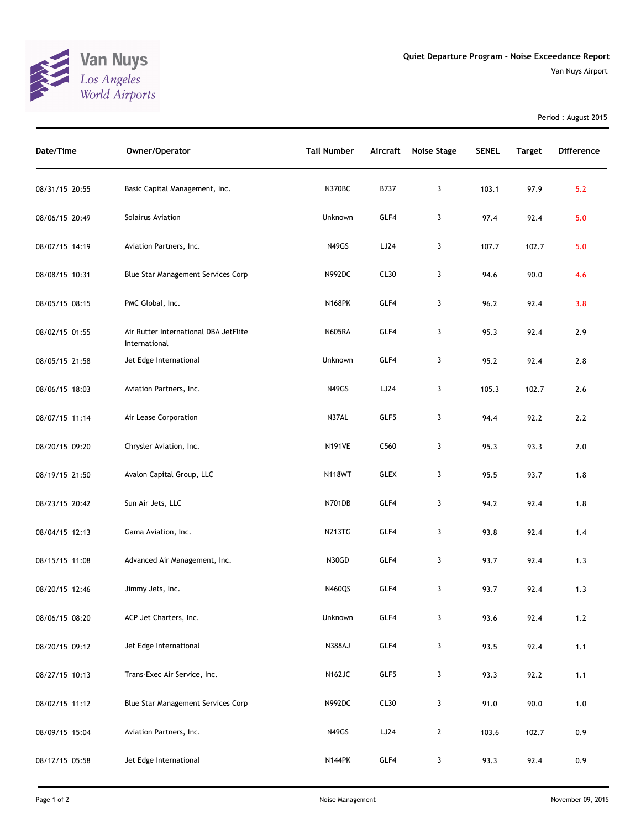

Period : August 2015

| Date/Time      | Owner/Operator                                         | <b>Tail Number</b> | Aircraft         | <b>Noise Stage</b> | <b>SENEL</b> | <b>Target</b> | <b>Difference</b> |
|----------------|--------------------------------------------------------|--------------------|------------------|--------------------|--------------|---------------|-------------------|
| 08/31/15 20:55 | Basic Capital Management, Inc.                         | N370BC             | B737             | 3                  | 103.1        | 97.9          | 5.2               |
| 08/06/15 20:49 | Solairus Aviation                                      | Unknown            | GLF4             | 3                  | 97.4         | 92.4          | 5.0               |
| 08/07/15 14:19 | Aviation Partners, Inc.                                | <b>N49GS</b>       | LJ24             | 3                  | 107.7        | 102.7         | 5.0               |
| 08/08/15 10:31 | Blue Star Management Services Corp                     | N992DC             | CL30             | 3                  | 94.6         | 90.0          | 4.6               |
| 08/05/15 08:15 | PMC Global, Inc.                                       | <b>N168PK</b>      | GLF4             | 3                  | 96.2         | 92.4          | 3.8               |
| 08/02/15 01:55 | Air Rutter International DBA JetFlite<br>International | <b>N605RA</b>      | GLF4             | 3                  | 95.3         | 92.4          | 2.9               |
| 08/05/15 21:58 | Jet Edge International                                 | Unknown            | GLF4             | 3                  | 95.2         | 92.4          | 2.8               |
| 08/06/15 18:03 | Aviation Partners, Inc.                                | N49GS              | LJ24             | 3                  | 105.3        | 102.7         | 2.6               |
| 08/07/15 11:14 | Air Lease Corporation                                  | N37AL              | GLF5             | 3                  | 94.4         | 92.2          | 2.2               |
| 08/20/15 09:20 | Chrysler Aviation, Inc.                                | <b>N191VE</b>      | C <sub>560</sub> | 3                  | 95.3         | 93.3          | 2.0               |
| 08/19/15 21:50 | Avalon Capital Group, LLC                              | <b>N118WT</b>      | <b>GLEX</b>      | 3                  | 95.5         | 93.7          | 1.8               |
| 08/23/15 20:42 | Sun Air Jets, LLC                                      | N701DB             | GLF4             | 3                  | 94.2         | 92.4          | 1.8               |
| 08/04/15 12:13 | Gama Aviation, Inc.                                    | <b>N213TG</b>      | GLF4             | 3                  | 93.8         | 92.4          | 1.4               |
| 08/15/15 11:08 | Advanced Air Management, Inc.                          | N30GD              | GLF4             | 3                  | 93.7         | 92.4          | 1.3               |
| 08/20/15 12:46 | Jimmy Jets, Inc.                                       | N460QS             | GLF4             | 3                  | 93.7         | 92.4          | 1.3               |
| 08/06/15 08:20 | ACP Jet Charters, Inc.                                 | Unknown            | GLF4             | 3                  | 93.6         | 92.4          | $1.2$             |
| 08/20/15 09:12 | Jet Edge International                                 | <b>N388AJ</b>      | GLF4             | 3                  | 93.5         | 92.4          | 1.1               |
| 08/27/15 10:13 | Trans-Exec Air Service, Inc.                           | N162JC             | GLF5             | 3                  | 93.3         | 92.2          | 1.1               |
| 08/02/15 11:12 | Blue Star Management Services Corp                     | N992DC             | CL30             | 3                  | 91.0         | 90.0          | 1.0               |
| 08/09/15 15:04 | Aviation Partners, Inc.                                | N49GS              | LJ24             | $\mathbf{2}$       | 103.6        | 102.7         | 0.9               |
| 08/12/15 05:58 | Jet Edge International                                 | <b>N144PK</b>      | GLF4             | 3                  | 93.3         | 92.4          | 0.9               |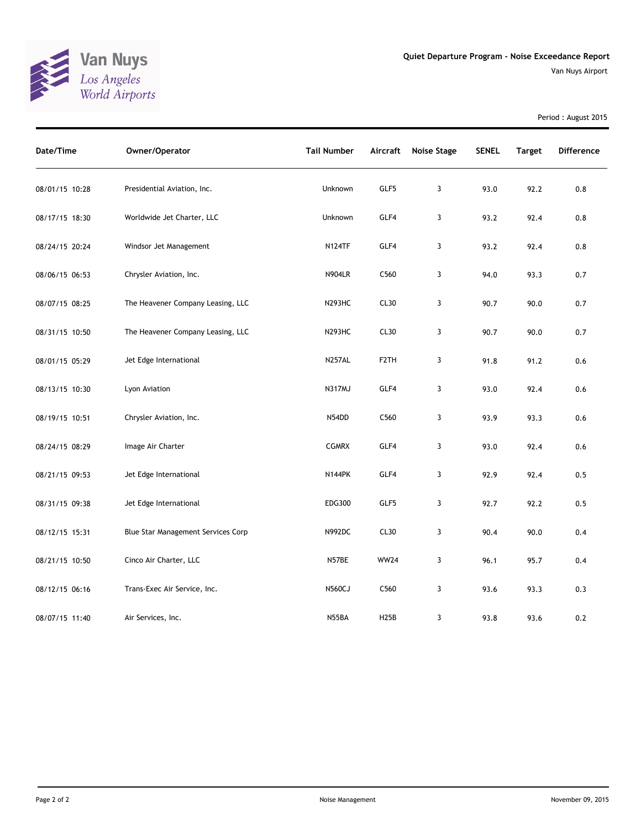

Period : August 2015

| Date/Time      | Owner/Operator                     | <b>Tail Number</b> | Aircraft          | <b>Noise Stage</b> | <b>SENEL</b> | <b>Target</b> | <b>Difference</b> |
|----------------|------------------------------------|--------------------|-------------------|--------------------|--------------|---------------|-------------------|
| 08/01/15 10:28 | Presidential Aviation, Inc.        | Unknown            | GLF5              | 3                  | 93.0         | 92.2          | 0.8               |
| 08/17/15 18:30 | Worldwide Jet Charter, LLC         | Unknown            | GLF4              | 3                  | 93.2         | 92.4          | 0.8               |
| 08/24/15 20:24 | Windsor Jet Management             | <b>N124TF</b>      | GLF4              | 3                  | 93.2         | 92.4          | 0.8               |
| 08/06/15 06:53 | Chrysler Aviation, Inc.            | <b>N904LR</b>      | C560              | 3                  | 94.0         | 93.3          | 0.7               |
| 08/07/15 08:25 | The Heavener Company Leasing, LLC  | <b>N293HC</b>      | CL30              | 3                  | 90.7         | 90.0          | 0.7               |
| 08/31/15 10:50 | The Heavener Company Leasing, LLC  | <b>N293HC</b>      | CL30              | 3                  | 90.7         | 90.0          | 0.7               |
| 08/01/15 05:29 | Jet Edge International             | <b>N257AL</b>      | F <sub>2</sub> TH | 3                  | 91.8         | 91.2          | 0.6               |
| 08/13/15 10:30 | Lyon Aviation                      | <b>N317MJ</b>      | GLF4              | 3                  | 93.0         | 92.4          | 0.6               |
| 08/19/15 10:51 | Chrysler Aviation, Inc.            | N54DD              | C560              | 3                  | 93.9         | 93.3          | 0.6               |
| 08/24/15 08:29 | Image Air Charter                  | <b>CGMRX</b>       | GLF4              | 3                  | 93.0         | 92.4          | 0.6               |
| 08/21/15 09:53 | Jet Edge International             | <b>N144PK</b>      | GLF4              | 3                  | 92.9         | 92.4          | 0.5               |
| 08/31/15 09:38 | Jet Edge International             | EDG300             | GLF5              | 3                  | 92.7         | 92.2          | 0.5               |
| 08/12/15 15:31 | Blue Star Management Services Corp | N992DC             | CL30              | 3                  | 90.4         | 90.0          | 0.4               |
| 08/21/15 10:50 | Cinco Air Charter, LLC             | N57BE              | <b>WW24</b>       | 3                  | 96.1         | 95.7          | 0.4               |
| 08/12/15 06:16 | Trans-Exec Air Service, Inc.       | <b>N560CJ</b>      | C <sub>560</sub>  | 3                  | 93.6         | 93.3          | 0.3               |
| 08/07/15 11:40 | Air Services, Inc.                 | N55BA              | <b>H25B</b>       | 3                  | 93.8         | 93.6          | 0.2               |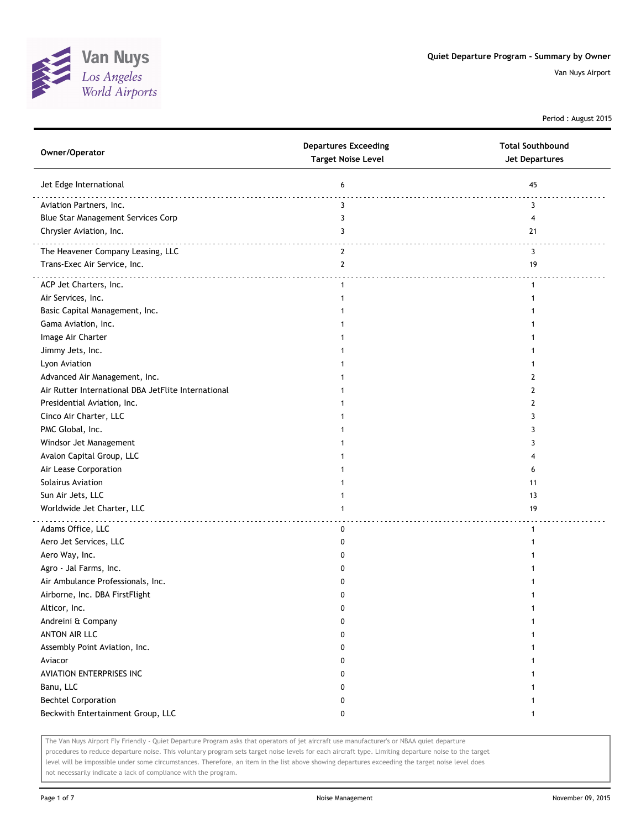

Period : August 2015

| Owner/Operator                                      | <b>Departures Exceeding</b><br><b>Target Noise Level</b> | <b>Total Southbound</b><br><b>Jet Departures</b> |
|-----------------------------------------------------|----------------------------------------------------------|--------------------------------------------------|
| Jet Edge International                              | 6                                                        | 45                                               |
| Aviation Partners, Inc.                             | 3                                                        | 3                                                |
| Blue Star Management Services Corp                  | 3                                                        | 4                                                |
| Chrysler Aviation, Inc.                             | 3                                                        | 21                                               |
| The Heavener Company Leasing, LLC                   | $\overline{2}$                                           | 3                                                |
| Trans-Exec Air Service, Inc.                        | $\overline{2}$                                           | 19                                               |
| ACP Jet Charters, Inc.                              | $\mathbf{1}$                                             | $\mathbf{1}$                                     |
| Air Services, Inc.                                  | 1                                                        |                                                  |
| Basic Capital Management, Inc.                      |                                                          |                                                  |
| Gama Aviation, Inc.                                 |                                                          |                                                  |
| Image Air Charter                                   |                                                          |                                                  |
| Jimmy Jets, Inc.                                    |                                                          |                                                  |
| Lyon Aviation                                       |                                                          |                                                  |
| Advanced Air Management, Inc.                       |                                                          | 2                                                |
| Air Rutter International DBA JetFlite International |                                                          | 2                                                |
| Presidential Aviation, Inc.                         |                                                          | 2                                                |
| Cinco Air Charter, LLC                              |                                                          | 3                                                |
| PMC Global, Inc.                                    |                                                          | 3                                                |
| Windsor Jet Management                              |                                                          | 3                                                |
| Avalon Capital Group, LLC                           |                                                          | 4                                                |
| Air Lease Corporation                               |                                                          | 6                                                |
| Solairus Aviation                                   |                                                          | 11                                               |
| Sun Air Jets, LLC                                   |                                                          | 13                                               |
| Worldwide Jet Charter, LLC                          | 1                                                        | 19                                               |
| Adams Office, LLC                                   | 0                                                        | 1                                                |
| Aero Jet Services, LLC                              | 0                                                        |                                                  |
| Aero Way, Inc.                                      | 0                                                        |                                                  |
| Agro - Jal Farms, Inc.                              | 0                                                        |                                                  |
| Air Ambulance Professionals, Inc.                   | 0                                                        |                                                  |
| Airborne, Inc. DBA FirstFlight                      | 0                                                        |                                                  |
| Alticor, Inc.                                       | 0                                                        |                                                  |
| Andreini & Company                                  | 0                                                        |                                                  |
| <b>ANTON AIR LLC</b>                                | 0                                                        |                                                  |
| Assembly Point Aviation, Inc.                       | 0                                                        |                                                  |
| Aviacor                                             | 0                                                        |                                                  |
| AVIATION ENTERPRISES INC                            | 0                                                        |                                                  |
| Banu, LLC                                           | 0                                                        |                                                  |
| <b>Bechtel Corporation</b>                          | 0                                                        |                                                  |
| Beckwith Entertainment Group, LLC                   | 0                                                        | $\mathbf{1}$                                     |

The Van Nuys Airport Fly Friendly - Quiet Departure Program asks that operators of jet aircraft use manufacturer's or NBAA quiet departure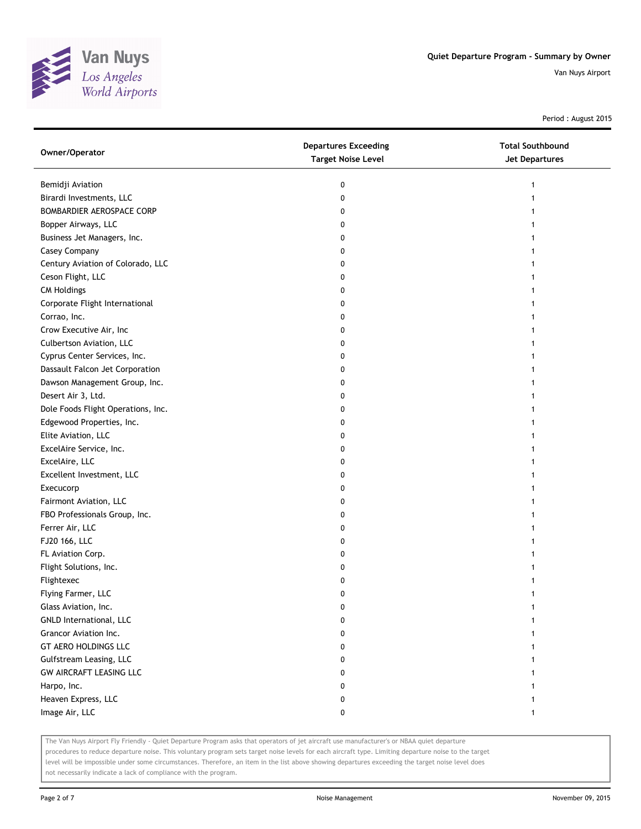

Period : August 2015

| Bemidji Aviation<br>0<br>1              |  |
|-----------------------------------------|--|
| Birardi Investments, LLC<br>0           |  |
| BOMBARDIER AEROSPACE CORP<br>0          |  |
| Bopper Airways, LLC<br>0                |  |
| Business Jet Managers, Inc.<br>0        |  |
| Casey Company<br>0                      |  |
| Century Aviation of Colorado, LLC<br>0  |  |
| Ceson Flight, LLC<br>0                  |  |
| <b>CM Holdings</b><br>0                 |  |
| Corporate Flight International<br>0     |  |
| Corrao, Inc.<br>0                       |  |
| Crow Executive Air, Inc<br>0            |  |
| Culbertson Aviation, LLC<br>0           |  |
| Cyprus Center Services, Inc.<br>0       |  |
| Dassault Falcon Jet Corporation<br>0    |  |
| Dawson Management Group, Inc.<br>0      |  |
| Desert Air 3, Ltd.<br>0                 |  |
| Dole Foods Flight Operations, Inc.<br>0 |  |
| Edgewood Properties, Inc.<br>0          |  |
| Elite Aviation, LLC<br>0                |  |
| ExcelAire Service, Inc.<br>0            |  |
| ExcelAire, LLC<br>0                     |  |
| Excellent Investment, LLC<br>0          |  |
| Execucorp<br>0                          |  |
| Fairmont Aviation, LLC<br>0             |  |
| FBO Professionals Group, Inc.<br>0      |  |
| Ferrer Air, LLC<br>0                    |  |
| FJ20 166, LLC<br>0                      |  |
| FL Aviation Corp.<br>0                  |  |
| Flight Solutions, Inc.<br>0             |  |
| Flightexec<br>0                         |  |
| Flying Farmer, LLC<br>0                 |  |
| Glass Aviation, Inc.<br>0               |  |
| GNLD International, LLC<br>0            |  |
| Grancor Aviation Inc.<br>0              |  |
| GT AERO HOLDINGS LLC<br>0               |  |
| Gulfstream Leasing, LLC<br>0            |  |
| GW AIRCRAFT LEASING LLC<br>0            |  |
| Harpo, Inc.<br>0                        |  |
| Heaven Express, LLC<br>0                |  |
| Image Air, LLC<br>0                     |  |

The Van Nuys Airport Fly Friendly - Quiet Departure Program asks that operators of jet aircraft use manufacturer's or NBAA quiet departure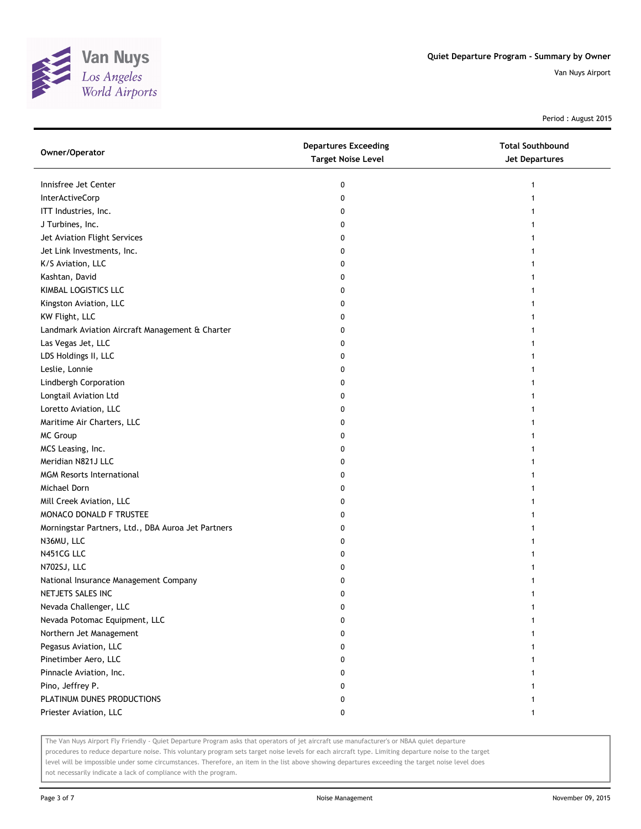

Period : August 2015

| Owner/Operator                                     | <b>Departures Exceeding</b><br><b>Target Noise Level</b> | <b>Total Southbound</b><br><b>Jet Departures</b> |
|----------------------------------------------------|----------------------------------------------------------|--------------------------------------------------|
| Innisfree Jet Center                               | 0                                                        | 1                                                |
| InterActiveCorp                                    | 0                                                        | 1                                                |
| ITT Industries, Inc.                               | 0                                                        |                                                  |
| J Turbines, Inc.                                   | 0                                                        |                                                  |
| Jet Aviation Flight Services                       | 0                                                        |                                                  |
| Jet Link Investments, Inc.                         | 0                                                        | 1                                                |
| K/S Aviation, LLC                                  | 0                                                        |                                                  |
| Kashtan, David                                     | 0                                                        |                                                  |
| KIMBAL LOGISTICS LLC                               | 0                                                        |                                                  |
| Kingston Aviation, LLC                             | 0                                                        |                                                  |
| KW Flight, LLC                                     | 0                                                        |                                                  |
| Landmark Aviation Aircraft Management & Charter    | 0                                                        |                                                  |
| Las Vegas Jet, LLC                                 | 0                                                        |                                                  |
| LDS Holdings II, LLC                               | 0                                                        |                                                  |
| Leslie, Lonnie                                     | 0                                                        |                                                  |
| Lindbergh Corporation                              | 0                                                        |                                                  |
| Longtail Aviation Ltd                              | 0                                                        |                                                  |
| Loretto Aviation, LLC                              | 0                                                        |                                                  |
| Maritime Air Charters, LLC                         | 0                                                        |                                                  |
| MC Group                                           | 0                                                        |                                                  |
| MCS Leasing, Inc.                                  | 0                                                        |                                                  |
| Meridian N821J LLC                                 | 0                                                        | 1                                                |
| <b>MGM Resorts International</b>                   | 0                                                        |                                                  |
| Michael Dorn                                       | 0                                                        |                                                  |
| Mill Creek Aviation, LLC                           | 0                                                        | 1                                                |
| MONACO DONALD F TRUSTEE                            | 0                                                        | 1                                                |
| Morningstar Partners, Ltd., DBA Auroa Jet Partners | 0                                                        |                                                  |
| N36MU, LLC                                         | 0                                                        |                                                  |
| N451CG LLC                                         | 0                                                        |                                                  |
| N702SJ, LLC                                        | 0                                                        |                                                  |
| National Insurance Management Company              | 0                                                        |                                                  |
| NETJETS SALES INC                                  | 0                                                        | 1                                                |
| Nevada Challenger, LLC                             | 0                                                        |                                                  |
| Nevada Potomac Equipment, LLC                      | 0                                                        |                                                  |
| Northern Jet Management                            | 0                                                        |                                                  |
| Pegasus Aviation, LLC                              | 0                                                        |                                                  |
| Pinetimber Aero, LLC                               | 0                                                        |                                                  |
| Pinnacle Aviation, Inc.                            | 0                                                        |                                                  |
| Pino, Jeffrey P.                                   | 0                                                        |                                                  |
| PLATINUM DUNES PRODUCTIONS                         | 0                                                        |                                                  |
| Priester Aviation, LLC                             | 0                                                        | 1                                                |

The Van Nuys Airport Fly Friendly - Quiet Departure Program asks that operators of jet aircraft use manufacturer's or NBAA quiet departure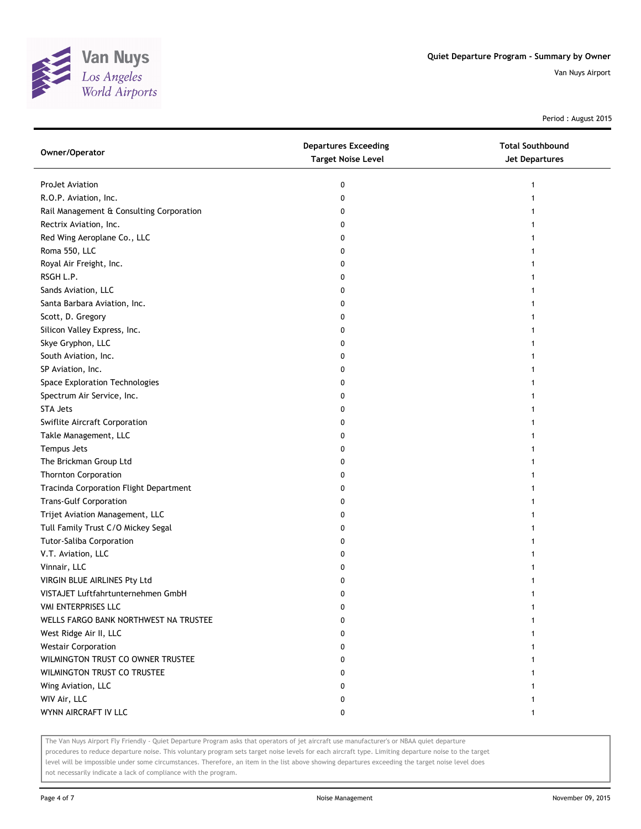

Period : August 2015

| Owner/Operator                           | <b>Departures Exceeding</b><br><b>Target Noise Level</b> | <b>Total Southbound</b><br><b>Jet Departures</b> |
|------------------------------------------|----------------------------------------------------------|--------------------------------------------------|
| ProJet Aviation                          | 0                                                        | 1                                                |
| R.O.P. Aviation, Inc.                    | 0                                                        |                                                  |
| Rail Management & Consulting Corporation | 0                                                        |                                                  |
| Rectrix Aviation, Inc.                   | 0                                                        |                                                  |
| Red Wing Aeroplane Co., LLC              | 0                                                        | 1                                                |
| Roma 550, LLC                            | 0                                                        | 1                                                |
| Royal Air Freight, Inc.                  | 0                                                        | 1                                                |
| RSGH L.P.                                | 0                                                        | 1                                                |
| Sands Aviation, LLC                      | 0                                                        | 1                                                |
| Santa Barbara Aviation, Inc.             | 0                                                        |                                                  |
| Scott, D. Gregory                        | 0                                                        |                                                  |
| Silicon Valley Express, Inc.             | 0                                                        |                                                  |
| Skye Gryphon, LLC                        | 0                                                        |                                                  |
| South Aviation, Inc.                     | 0                                                        |                                                  |
| SP Aviation, Inc.                        | 0                                                        | 1                                                |
| Space Exploration Technologies           | 0                                                        | 1                                                |
| Spectrum Air Service, Inc.               | 0                                                        | 1                                                |
| <b>STA Jets</b>                          | 0                                                        | 1                                                |
| Swiflite Aircraft Corporation            | 0                                                        |                                                  |
| Takle Management, LLC                    | 0                                                        |                                                  |
| Tempus Jets                              | 0                                                        |                                                  |
| The Brickman Group Ltd                   | 0                                                        |                                                  |
| <b>Thornton Corporation</b>              | 0                                                        |                                                  |
| Tracinda Corporation Flight Department   | 0                                                        |                                                  |
| <b>Trans-Gulf Corporation</b>            | 0                                                        |                                                  |
| Trijet Aviation Management, LLC          | 0                                                        |                                                  |
| Tull Family Trust C/O Mickey Segal       | 0                                                        |                                                  |
| <b>Tutor-Saliba Corporation</b>          | 0                                                        |                                                  |
| V.T. Aviation, LLC                       | 0                                                        |                                                  |
| Vinnair, LLC                             | 0                                                        |                                                  |
| VIRGIN BLUE AIRLINES Pty Ltd             | 0                                                        |                                                  |
| VISTAJET Luftfahrtunternehmen GmbH       | 0                                                        |                                                  |
| VMI ENTERPRISES LLC                      | 0                                                        |                                                  |
| WELLS FARGO BANK NORTHWEST NA TRUSTEE    | 0                                                        |                                                  |
| West Ridge Air II, LLC                   | 0                                                        |                                                  |
| <b>Westair Corporation</b>               | 0                                                        |                                                  |
| WILMINGTON TRUST CO OWNER TRUSTEE        | 0                                                        | 1                                                |
| WILMINGTON TRUST CO TRUSTEE              | 0                                                        |                                                  |
| Wing Aviation, LLC                       | 0                                                        |                                                  |
| WIV Air, LLC                             | 0                                                        | 1                                                |
| WYNN AIRCRAFT IV LLC                     | 0                                                        | 1                                                |
|                                          |                                                          |                                                  |

The Van Nuys Airport Fly Friendly - Quiet Departure Program asks that operators of jet aircraft use manufacturer's or NBAA quiet departure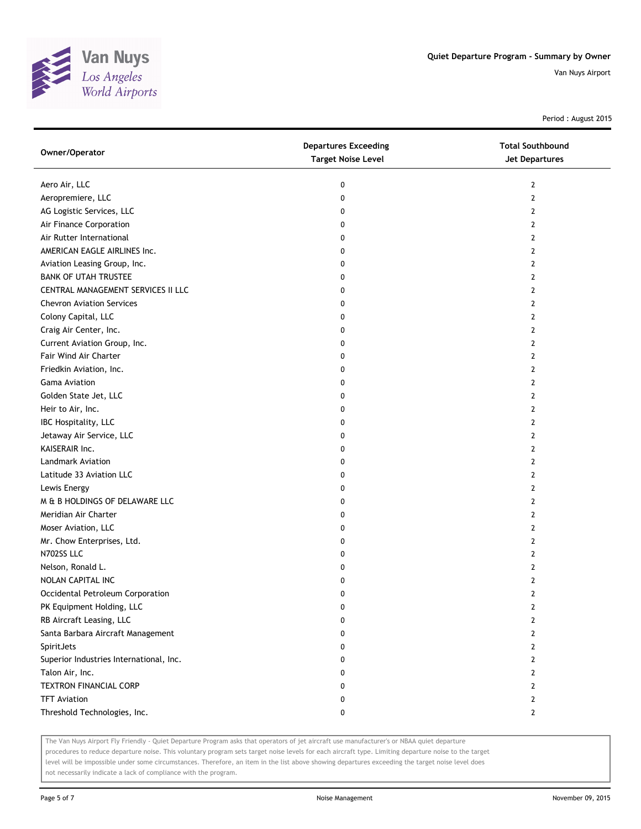

Period : August 2015

| Owner/Operator                          | <b>Departures Exceeding</b><br><b>Target Noise Level</b> | <b>Total Southbound</b><br><b>Jet Departures</b> |
|-----------------------------------------|----------------------------------------------------------|--------------------------------------------------|
| Aero Air, LLC                           | 0                                                        | 2                                                |
| Aeropremiere, LLC                       | 0                                                        | $\mathbf{2}$                                     |
| AG Logistic Services, LLC               | 0                                                        | 2                                                |
| Air Finance Corporation                 | 0                                                        | $\mathbf{2}$                                     |
| Air Rutter International                | 0                                                        | $\overline{2}$                                   |
| AMERICAN EAGLE AIRLINES Inc.            | 0                                                        | 2                                                |
| Aviation Leasing Group, Inc.            | 0                                                        | $\overline{2}$                                   |
| <b>BANK OF UTAH TRUSTEE</b>             | 0                                                        | 2                                                |
| CENTRAL MANAGEMENT SERVICES II LLC      | 0                                                        | $\overline{2}$                                   |
| <b>Chevron Aviation Services</b>        | 0                                                        | $\mathbf{2}$                                     |
| Colony Capital, LLC                     | 0                                                        | $\mathbf{2}$                                     |
| Craig Air Center, Inc.                  | 0                                                        | $\mathbf{2}$                                     |
| Current Aviation Group, Inc.            | 0                                                        | 2                                                |
| Fair Wind Air Charter                   | 0                                                        | 2                                                |
| Friedkin Aviation, Inc.                 | 0                                                        | $\mathbf{2}$                                     |
| <b>Gama Aviation</b>                    | 0                                                        | 2                                                |
| Golden State Jet, LLC                   | 0                                                        | 2                                                |
| Heir to Air, Inc.                       | 0                                                        | 2                                                |
| IBC Hospitality, LLC                    | 0                                                        | $\overline{2}$                                   |
| Jetaway Air Service, LLC                | 0                                                        | $\overline{2}$                                   |
| KAISERAIR Inc.                          | 0                                                        | $\overline{2}$                                   |
| Landmark Aviation                       | 0                                                        | $\mathbf{2}$                                     |
| Latitude 33 Aviation LLC                | 0                                                        | $\mathbf{2}$                                     |
| Lewis Energy                            | 0                                                        | $\overline{2}$                                   |
| M & B HOLDINGS OF DELAWARE LLC          | 0                                                        | $\overline{2}$                                   |
| Meridian Air Charter                    | 0                                                        | 2                                                |
| Moser Aviation, LLC                     | 0                                                        | 2                                                |
| Mr. Chow Enterprises, Ltd.              | 0                                                        | 2                                                |
| N702SS LLC                              | 0                                                        | $\overline{2}$                                   |
| Nelson, Ronald L.                       | 0                                                        | $\overline{2}$                                   |
| NOLAN CAPITAL INC                       | 0                                                        | $\overline{2}$                                   |
| Occidental Petroleum Corporation        | 0                                                        | $\mathbf{2}$                                     |
| PK Equipment Holding, LLC               | 0                                                        | 2                                                |
| RB Aircraft Leasing, LLC                | 0                                                        | $\overline{2}$                                   |
| Santa Barbara Aircraft Management       | 0                                                        | $\overline{2}$                                   |
| SpiritJets                              | 0                                                        | 2                                                |
| Superior Industries International, Inc. | 0                                                        | 2                                                |
| Talon Air, Inc.                         | 0                                                        | 2                                                |
| <b>TEXTRON FINANCIAL CORP</b>           | 0                                                        | $\overline{2}$                                   |
| <b>TFT Aviation</b>                     | 0                                                        | $\overline{2}$                                   |
| Threshold Technologies, Inc.            | 0                                                        | $\mathbf{2}$                                     |

The Van Nuys Airport Fly Friendly - Quiet Departure Program asks that operators of jet aircraft use manufacturer's or NBAA quiet departure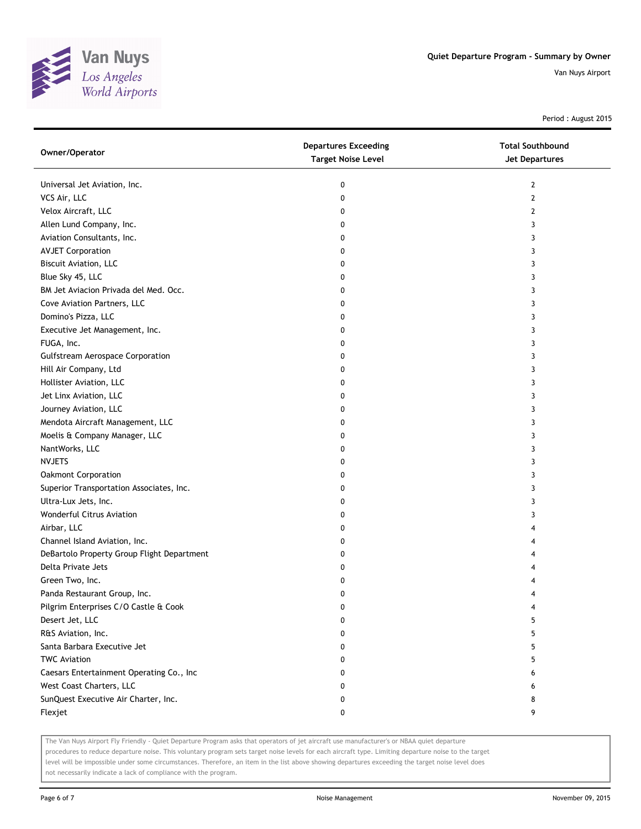

Period : August 2015

| Owner/Operator                             | <b>Departures Exceeding</b><br><b>Target Noise Level</b> | <b>Total Southbound</b><br><b>Jet Departures</b> |
|--------------------------------------------|----------------------------------------------------------|--------------------------------------------------|
| Universal Jet Aviation, Inc.               | 0                                                        | 2                                                |
| VCS Air, LLC                               | 0                                                        | 2                                                |
| Velox Aircraft, LLC                        | 0                                                        | 2                                                |
| Allen Lund Company, Inc.                   | 0                                                        | 3                                                |
| Aviation Consultants, Inc.                 | 0                                                        | 3                                                |
| <b>AVJET Corporation</b>                   | 0                                                        | 3                                                |
| <b>Biscuit Aviation, LLC</b>               | 0                                                        | 3                                                |
| Blue Sky 45, LLC                           | 0                                                        | 3                                                |
| BM Jet Aviacion Privada del Med. Occ.      | 0                                                        | 3                                                |
| Cove Aviation Partners, LLC                | 0                                                        | 3                                                |
| Domino's Pizza, LLC                        | 0                                                        | 3                                                |
| Executive Jet Management, Inc.             | 0                                                        | 3                                                |
| FUGA, Inc.                                 | 0                                                        | 3                                                |
| <b>Gulfstream Aerospace Corporation</b>    | 0                                                        | 3                                                |
| Hill Air Company, Ltd                      | 0                                                        | 3                                                |
| Hollister Aviation, LLC                    | 0                                                        | 3                                                |
| Jet Linx Aviation, LLC                     | 0                                                        | 3                                                |
| Journey Aviation, LLC                      | 0                                                        | 3                                                |
| Mendota Aircraft Management, LLC           | 0                                                        | 3                                                |
| Moelis & Company Manager, LLC              | 0                                                        | 3                                                |
| NantWorks, LLC                             | 0                                                        | 3                                                |
| <b>NVJETS</b>                              | 0                                                        | 3                                                |
| <b>Oakmont Corporation</b>                 | 0                                                        | 3                                                |
| Superior Transportation Associates, Inc.   | 0                                                        | 3                                                |
| Ultra-Lux Jets, Inc.                       | 0                                                        | 3                                                |
| Wonderful Citrus Aviation                  | 0                                                        | 3                                                |
| Airbar, LLC                                | 0                                                        | 4                                                |
| Channel Island Aviation, Inc.              | 0                                                        | 4                                                |
| DeBartolo Property Group Flight Department | 0                                                        |                                                  |
| Delta Private Jets                         | 0                                                        |                                                  |
| Green Two, Inc.                            | 0                                                        |                                                  |
| Panda Restaurant Group, Inc.               | 0                                                        | 4                                                |
| Pilgrim Enterprises C/O Castle & Cook      | 0                                                        | 4                                                |
| Desert Jet, LLC                            | 0                                                        | 5                                                |
| R&S Aviation, Inc.                         | 0                                                        | 5                                                |
| Santa Barbara Executive Jet                | 0                                                        | 5                                                |
| <b>TWC Aviation</b>                        | 0                                                        | 5                                                |
| Caesars Entertainment Operating Co., Inc   | 0                                                        | 6                                                |
| West Coast Charters, LLC                   | 0                                                        | 6                                                |
| SunQuest Executive Air Charter, Inc.       | 0                                                        | 8                                                |
| Flexjet                                    | 0                                                        | 9                                                |

The Van Nuys Airport Fly Friendly - Quiet Departure Program asks that operators of jet aircraft use manufacturer's or NBAA quiet departure